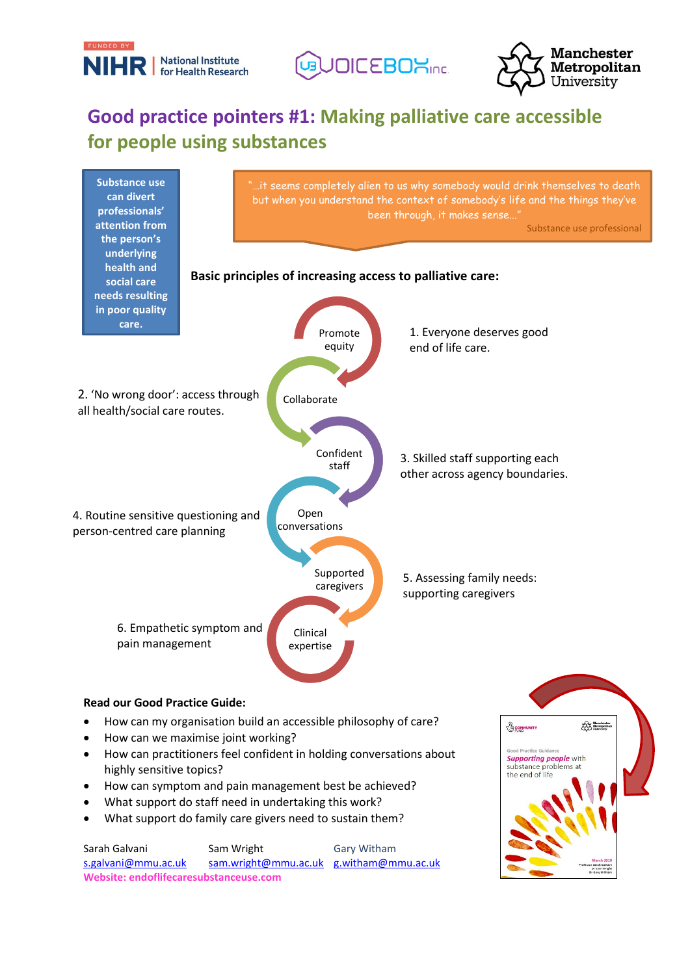





## **Good practice pointers #1: Making palliative care accessible for people using substances**



[s.galvani@mmu.ac.uk](mailto:s.galvani@mmu.ac.uk) [sam.wright@mmu.ac.uk](mailto:sam.wright@mmu.ac.uk) [g.witham@mmu.ac.uk](mailto:g.witham@mmu.ac.uk) **Website: endoflifecaresubstanceuse.com**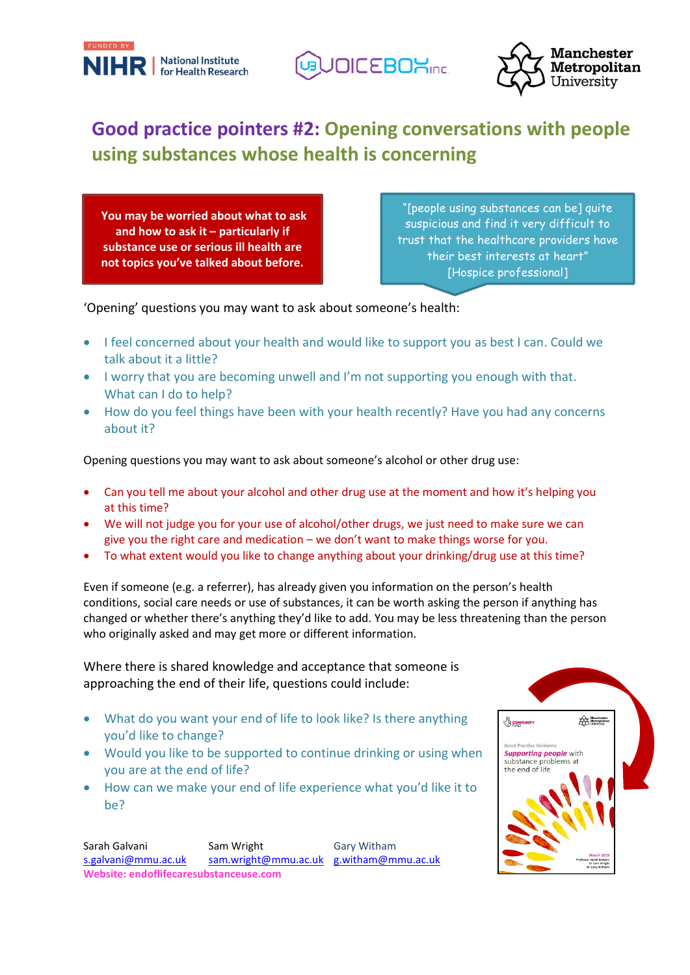





### **Good practice pointers #2: Opening conversations with people using substances whose health is concerning**

**You may be worried about what to ask and how to ask it – particularly if substance use or serious ill health are not topics you've talked about before.**

"[people using substances can be] quite suspicious and find it very difficult to trust that the healthcare providers have their best interests at heart" [Hospice professional]

'Opening' questions you may want to ask about someone's health:

- I feel concerned about your health and would like to support you as best I can. Could we talk about it a little?
- I worry that you are becoming unwell and I'm not supporting you enough with that. What can I do to help?
- How do you feel things have been with your health recently? Have you had any concerns about it?

Opening questions you may want to ask about someone's alcohol or other drug use:

- Can you tell me about your alcohol and other drug use at the moment and how it's helping you at this time?
- We will not judge you for your use of alcohol/other drugs, we just need to make sure we can give you the right care and medication – we don't want to make things worse for you.
- To what extent would you like to change anything about your drinking/drug use at this time?

Even if someone (e.g. a referrer), has already given you information on the person's health conditions, social care needs or use of substances, it can be worth asking the person if anything has changed or whether there's anything they'd like to add. You may be less threatening than the person who originally asked and may get more or different information.

Where there is shared knowledge and acceptance that someone is approaching the end of their life, questions could include:

- What do you want your end of life to look like? Is there anything you'd like to change?
- Would you like to be supported to continue drinking or using when you are at the end of life?
- How can we make your end of life experience what you'd like it to be?

Sarah Galvani Sam Wright Gary Witham [s.galvani@mmu.ac.uk](mailto:s.galvani@mmu.ac.uk) [sam.wright@mmu.ac.uk](mailto:sam.wright@mmu.ac.uk) [g.witham@mmu.ac.uk](mailto:g.witham@mmu.ac.uk) **Website: endoflifecaresubstanceuse.com**

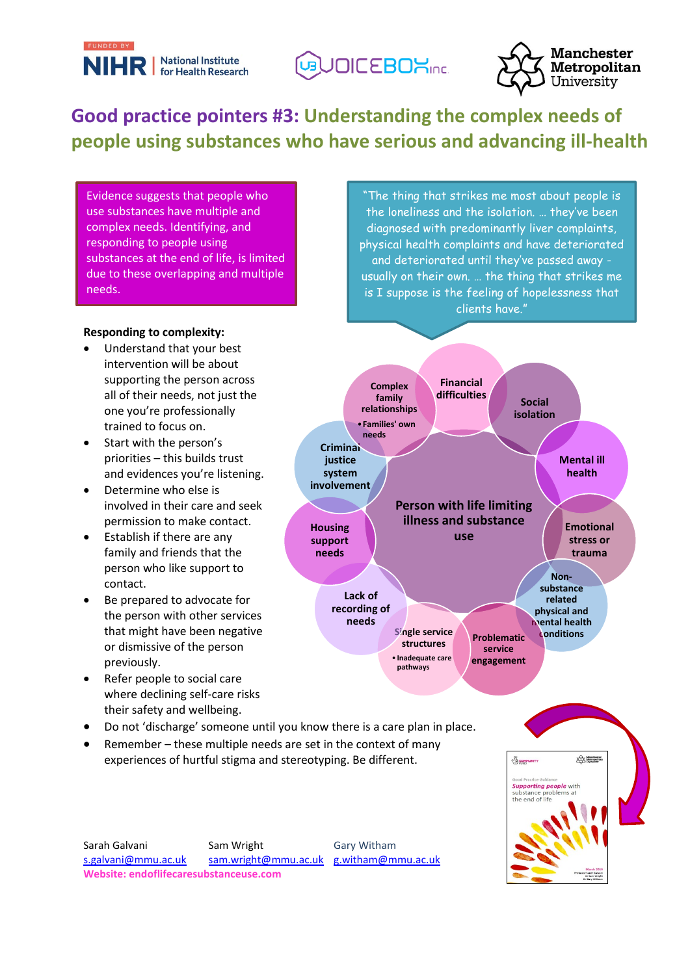





# **Good practice pointers #3: Understanding the complex needs of people using substances who have serious and advancing ill-health**

Evidence suggests that people who use substances have multiple and complex needs. Identifying, and responding to people using substances at the end of life, is limited due to these overlapping and multiple needs.

#### **Responding to complexity:**

- Understand that your best intervention will be about supporting the person across all of their needs, not just the one you're professionally trained to focus on.
- Start with the person's priorities – this builds trust and evidences you're listening.
- Determine who else is involved in their care and seek permission to make contact.
- Establish if there are any family and friends that the person who like support to contact.
- Be prepared to advocate for the person with other services that might have been negative or dismissive of the person previously.
- Refer people to social care where declining self-care risks their safety and wellbeing.
- Do not 'discharge' someone until you know there is a care plan in place.
- Remember these multiple needs are set in the context of many experiences of hurtful stigma and stereotyping. Be different.

Sarah Galvani Sam Wright Gary Witham [s.galvani@mmu.ac.uk](mailto:s.galvani@mmu.ac.uk) [sam.wright@mmu.ac.uk](mailto:sam.wright@mmu.ac.uk) [g.witham@mmu.ac.uk](mailto:g.witham@mmu.ac.uk) **Website: endoflifecaresubstanceuse.com**

"The thing that strikes me most about people is the loneliness and the isolation. … they've been diagnosed with predominantly liver complaints, physical health complaints and have deteriorated and deteriorated until they've passed away usually on their own. … the thing that strikes me is I suppose is the feeling of hopelessness that clients have."



**The Measure** 

BCOMMU

**Supporting people** with<br>substance problems at<br>the end of life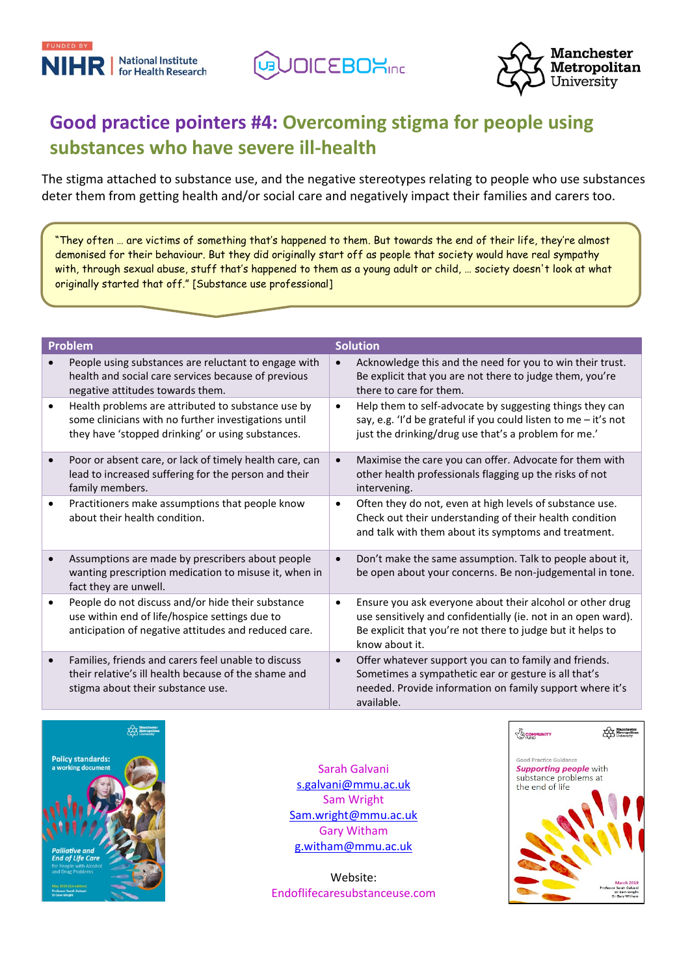





## **Good practice pointers #4: Overcoming stigma for people using substances who have severe ill-health**

The stigma attached to substance use, and the negative stereotypes relating to people who use substances deter them from getting health and/or social care and negatively impact their families and carers too.

"They often … are victims of something that's happened to them. But towards the end of their life, they're almost demonised for their behaviour. But they did originally start off as people that society would have real sympathy with, through sexual abuse, stuff that's happened to them as a young adult or child, … society doesn't look at what originally started that off." [Substance use professional]

| <b>Problem</b>                                                                                                                                                               | <b>Solution</b>                                                                                                                                                                                                         |
|------------------------------------------------------------------------------------------------------------------------------------------------------------------------------|-------------------------------------------------------------------------------------------------------------------------------------------------------------------------------------------------------------------------|
| People using substances are reluctant to engage with<br>health and social care services because of previous<br>negative attitudes towards them.                              | Acknowledge this and the need for you to win their trust.<br>Be explicit that you are not there to judge them, you're<br>there to care for them.                                                                        |
| Health problems are attributed to substance use by<br>$\bullet$<br>some clinicians with no further investigations until<br>they have 'stopped drinking' or using substances. | Help them to self-advocate by suggesting things they can<br>$\bullet$<br>say, e.g. 'I'd be grateful if you could listen to me - it's not<br>just the drinking/drug use that's a problem for me.'                        |
| Poor or absent care, or lack of timely health care, can<br>lead to increased suffering for the person and their<br>family members.                                           | Maximise the care you can offer. Advocate for them with<br>other health professionals flagging up the risks of not<br>intervening.                                                                                      |
| Practitioners make assumptions that people know<br>about their health condition.                                                                                             | Often they do not, even at high levels of substance use.<br>$\bullet$<br>Check out their understanding of their health condition<br>and talk with them about its symptoms and treatment.                                |
| Assumptions are made by prescribers about people<br>wanting prescription medication to misuse it, when in<br>fact they are unwell.                                           | Don't make the same assumption. Talk to people about it,<br>be open about your concerns. Be non-judgemental in tone.                                                                                                    |
| People do not discuss and/or hide their substance<br>$\bullet$<br>use within end of life/hospice settings due to<br>anticipation of negative attitudes and reduced care.     | Ensure you ask everyone about their alcohol or other drug<br>$\bullet$<br>use sensitively and confidentially (ie. not in an open ward).<br>Be explicit that you're not there to judge but it helps to<br>know about it. |
| Families, friends and carers feel unable to discuss<br>their relative's ill health because of the shame and<br>stigma about their substance use.                             | Offer whatever support you can to family and friends.<br>$\bullet$<br>Sometimes a sympathetic ear or gesture is all that's<br>needed. Provide information on family support where it's<br>available.                    |



Sarah Galvani [s.galvani@mmu.ac.uk](mailto:s.galvani@mmu.ac.uk) Sam Wright [Sam.wright@mmu.ac.uk](mailto:Sam.wright@mmu.ac.uk) Gary Witham [g.witham@mmu.ac.uk](mailto:g.witham@mmu.ac.uk)

Website: Endoflifecaresubstanceuse.com

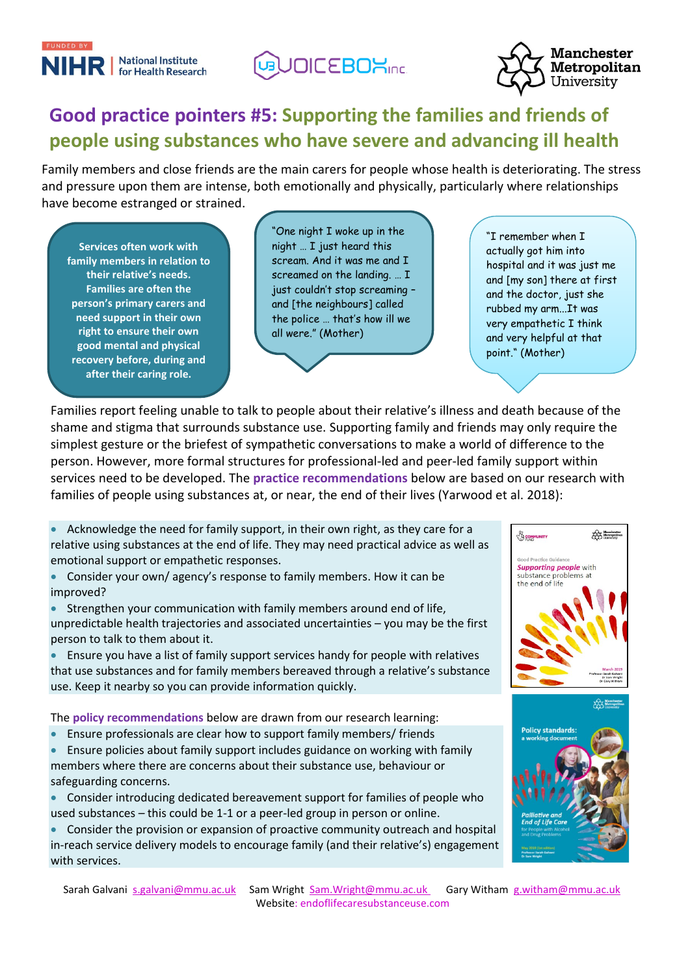

**JOICEBOXINE.** 



## **Good practice pointers #5: Supporting the families and friends of people using substances who have severe and advancing ill health**

Family members and close friends are the main carers for people whose health is deteriorating. The stress and pressure upon them are intense, both emotionally and physically, particularly where relationships have become estranged or strained.

**Services often work with family members in relation to their relative's needs. Families are often the person's primary carers and need support in their own right to ensure their own good mental and physical recovery before, during and after their caring role.**

"One night I woke up in the night … I just heard this scream. And it was me and I screamed on the landing. … I just couldn't stop screaming – and [the neighbours] called the police … that's how ill we all were." (Mother)

"I remember when I actually got him into hospital and it was just me and [my son] there at first and the doctor, just she rubbed my arm...It was very empathetic I think and very helpful at that point." (Mother)

Families report feeling unable to talk to people about their relative's illness and death because of the shame and stigma that surrounds substance use. Supporting family and friends may only require the simplest gesture or the briefest of sympathetic conversations to make a world of difference to the person. However, more formal structures for professional-led and peer-led family support within services need to be developed. The **practice recommendations** below are based on our research with families of people using substances at, or near, the end of their lives (Yarwood et al. 2018):

• Acknowledge the need for family support, in their own right, as they care for a relative using substances at the end of life. They may need practical advice as well as emotional support or empathetic responses.

• Consider your own/ agency's response to family members. How it can be improved?

• Strengthen your communication with family members around end of life, unpredictable health trajectories and associated uncertainties – you may be the first person to talk to them about it.

• Ensure you have a list of family support services handy for people with relatives that use substances and for family members bereaved through a relative's substance use. Keep it nearby so you can provide information quickly.

The **policy recommendations** below are drawn from our research learning:

- Ensure professionals are clear how to support family members/ friends
- Ensure policies about family support includes guidance on working with family members where there are concerns about their substance use, behaviour or safeguarding concerns.

• Consider introducing dedicated bereavement support for families of people who used substances – this could be 1-1 or a peer-led group in person or online.

• Consider the provision or expansion of proactive community outreach and hospital in-reach service delivery models to encourage family (and their relative's) engagement with services.





Sarah Galvani [s.galvani@mmu.ac.uk](mailto:s.galvani@mmu.ac.uk) Sam Wright [Sam.Wright@mmu.ac.uk](mailto:Sam.Wright@mmu.ac.uk) Gary Witham [g.witham@mmu.ac.uk](mailto:g.witham@mmu.ac.uk) Website: endoflifecaresubstanceuse.com